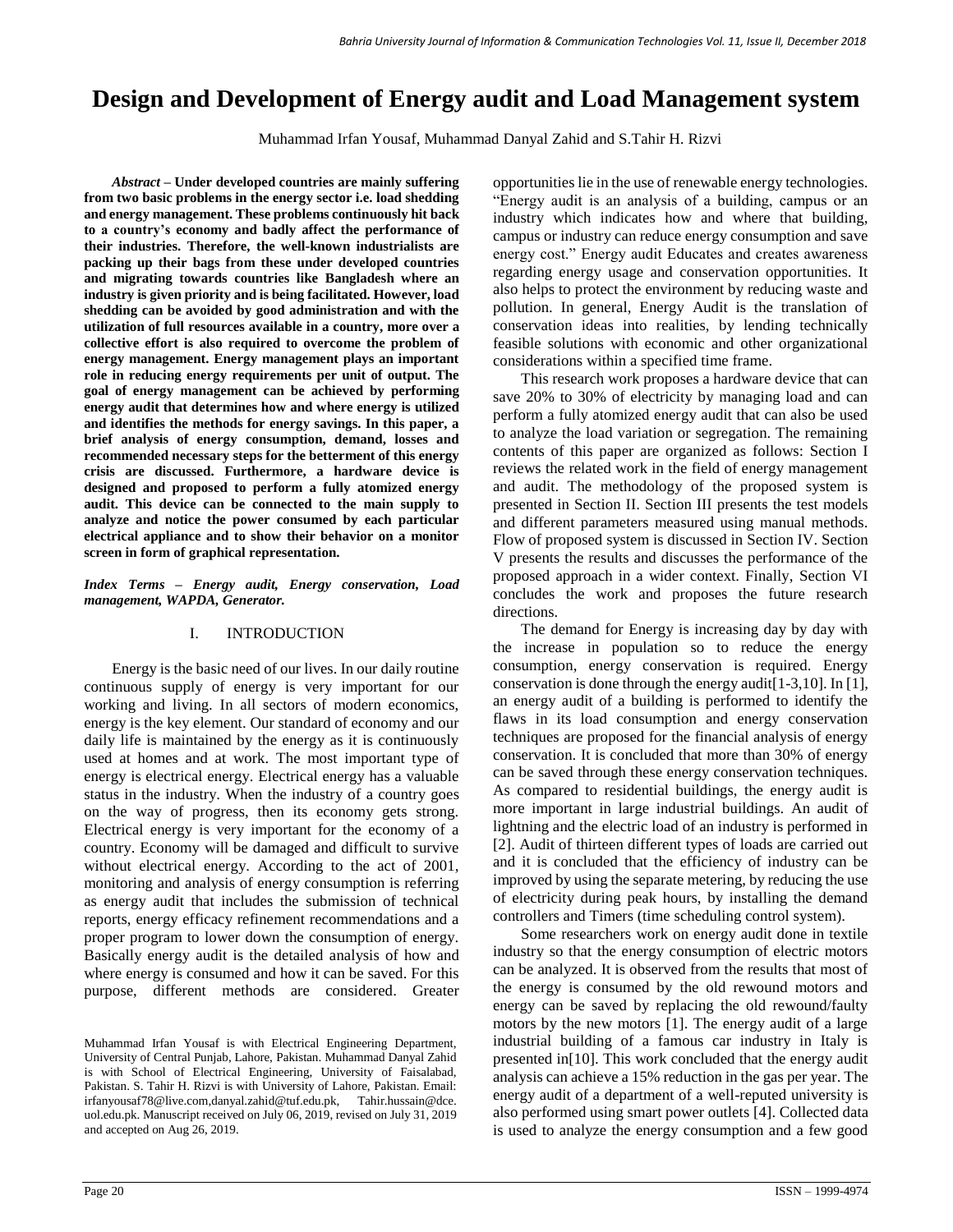# **Design and Development of Energy audit and Load Management system**

Muhammad Irfan Yousaf, Muhammad Danyal Zahid and S.Tahir H. Rizvi

*Abstract –* **Under developed countries are mainly suffering from two basic problems in the energy sector i.e. load shedding and energy management. These problems continuously hit back to a country's economy and badly affect the performance of their industries. Therefore, the well-known industrialists are packing up their bags from these under developed countries and migrating towards countries like Bangladesh where an industry is given priority and is being facilitated. However, load shedding can be avoided by good administration and with the utilization of full resources available in a country, more over a collective effort is also required to overcome the problem of energy management. Energy management plays an important role in reducing energy requirements per unit of output. The goal of energy management can be achieved by performing energy audit that determines how and where energy is utilized and identifies the methods for energy savings. In this paper, a brief analysis of energy consumption, demand, losses and recommended necessary steps for the betterment of this energy crisis are discussed. Furthermore, a hardware device is designed and proposed to perform a fully atomized energy audit. This device can be connected to the main supply to analyze and notice the power consumed by each particular electrical appliance and to show their behavior on a monitor screen in form of graphical representation.**

*Index Terms – Energy audit, Energy conservation, Load management, WAPDA, Generator.*

# I. INTRODUCTION

Energy is the basic need of our lives. In our daily routine continuous supply of energy is very important for our working and living. In all sectors of modern economics, energy is the key element. Our standard of economy and our daily life is maintained by the energy as it is continuously used at homes and at work. The most important type of energy is electrical energy. Electrical energy has a valuable status in the industry. When the industry of a country goes on the way of progress, then its economy gets strong. Electrical energy is very important for the economy of a country. Economy will be damaged and difficult to survive without electrical energy. According to the act of 2001, monitoring and analysis of energy consumption is referring as energy audit that includes the submission of technical reports, energy efficacy refinement recommendations and a proper program to lower down the consumption of energy. Basically energy audit is the detailed analysis of how and where energy is consumed and how it can be saved. For this purpose, different methods are considered. Greater

opportunities lie in the use of renewable energy technologies. "Energy audit is an analysis of a building, campus or an industry which indicates how and where that building, campus or industry can reduce energy consumption and save energy cost." Energy audit Educates and creates awareness regarding energy usage and conservation opportunities. It also helps to protect the environment by reducing waste and pollution. In general, Energy Audit is the translation of conservation ideas into realities, by lending technically feasible solutions with economic and other organizational considerations within a specified time frame.

This research work proposes a hardware device that can save 20% to 30% of electricity by managing load and can perform a fully atomized energy audit that can also be used to analyze the load variation or segregation. The remaining contents of this paper are organized as follows: Section I reviews the related work in the field of energy management and audit. The methodology of the proposed system is presented in Section II. Section III presents the test models and different parameters measured using manual methods. Flow of proposed system is discussed in Section IV. Section V presents the results and discusses the performance of the proposed approach in a wider context. Finally, Section VI concludes the work and proposes the future research directions.

The demand for Energy is increasing day by day with the increase in population so to reduce the energy consumption, energy conservation is required. Energy conservation is done through the energy audit[1-3,10]. In [1], an energy audit of a building is performed to identify the flaws in its load consumption and energy conservation techniques are proposed for the financial analysis of energy conservation. It is concluded that more than 30% of energy can be saved through these energy conservation techniques. As compared to residential buildings, the energy audit is more important in large industrial buildings. An audit of lightning and the electric load of an industry is performed in [2]. Audit of thirteen different types of loads are carried out and it is concluded that the efficiency of industry can be improved by using the separate metering, by reducing the use of electricity during peak hours, by installing the demand controllers and Timers (time scheduling control system).

Some researchers work on energy audit done in textile industry so that the energy consumption of electric motors can be analyzed. It is observed from the results that most of the energy is consumed by the old rewound motors and energy can be saved by replacing the old rewound/faulty motors by the new motors [1]. The energy audit of a large industrial building of a famous car industry in Italy is presented in[10]. This work concluded that the energy audit analysis can achieve a 15% reduction in the gas per year. The energy audit of a department of a well-reputed university is also performed using smart power outlets [4]. Collected data is used to analyze the energy consumption and a few good

Muhammad Irfan Yousaf is with Electrical Engineering Department, University of Central Punjab, Lahore, Pakistan. Muhammad Danyal Zahid is with School of Electrical Engineering, University of Faisalabad, Pakistan. S. Tahir H. Rizvi is with University of Lahore, Pakistan. Email: irfanyousaf78@live.com,danyal.zahid@tuf.edu.pk, Tahir.hussain@dce. uol.edu.pk. Manuscript received on July 06, 2019, revised on July 31, 2019 and accepted on Aug 26, 2019.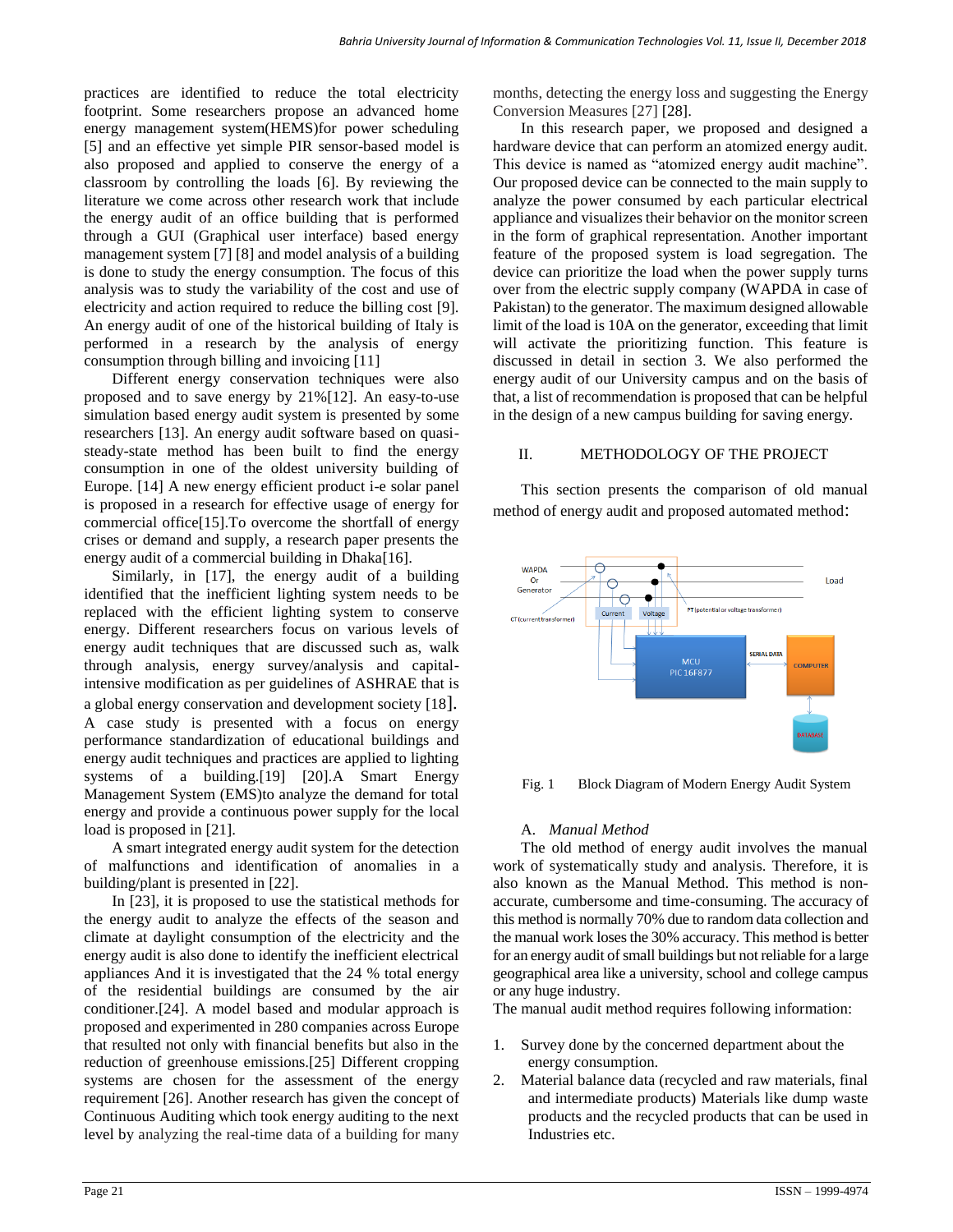practices are identified to reduce the total electricity footprint. Some researchers propose an advanced home energy management system(HEMS)for power scheduling [5] and an effective yet simple PIR sensor-based model is also proposed and applied to conserve the energy of a classroom by controlling the loads [6]. By reviewing the literature we come across other research work that include the energy audit of an office building that is performed through a GUI (Graphical user interface) based energy management system [7] [8] and model analysis of a building is done to study the energy consumption. The focus of this analysis was to study the variability of the cost and use of electricity and action required to reduce the billing cost [9]. An energy audit of one of the historical building of Italy is performed in a research by the analysis of energy consumption through billing and invoicing [11]

Different energy conservation techniques were also proposed and to save energy by 21%[12]. An easy-to-use simulation based energy audit system is presented by some researchers [13]. An energy audit software based on quasisteady-state method has been built to find the energy consumption in one of the oldest university building of Europe. [14] A new energy efficient product i-e solar panel is proposed in a research for effective usage of energy for commercial office[15].To overcome the shortfall of energy crises or demand and supply, a research paper presents the energy audit of a commercial building in Dhaka[16].

Similarly, in [17], the energy audit of a building identified that the inefficient lighting system needs to be replaced with the efficient lighting system to conserve energy. Different researchers focus on various levels of energy audit techniques that are discussed such as, walk through analysis, energy survey/analysis and capitalintensive modification as per guidelines of ASHRAE that is a global energy conservation and development society [18]. A case study is presented with a focus on energy performance standardization of educational buildings and energy audit techniques and practices are applied to lighting systems of a building.[19] [20].A Smart Energy Management System (EMS)to analyze the demand for total energy and provide a continuous power supply for the local load is proposed in [21].

A smart integrated energy audit system for the detection of malfunctions and identification of anomalies in a building/plant is presented in [22].

In [23], it is proposed to use the statistical methods for the energy audit to analyze the effects of the season and climate at daylight consumption of the electricity and the energy audit is also done to identify the inefficient electrical appliances And it is investigated that the 24 % total energy of the residential buildings are consumed by the air conditioner.[24]. A model based and modular approach is proposed and experimented in 280 companies across Europe that resulted not only with financial benefits but also in the reduction of greenhouse emissions.[25] Different cropping systems are chosen for the assessment of the energy requirement [26]. Another research has given the concept of Continuous Auditing which took energy auditing to the next level by analyzing the real-time data of a building for many months, detecting the energy loss and suggesting the Energy Conversion Measures [27] [28].

In this research paper, we proposed and designed a hardware device that can perform an atomized energy audit. This device is named as "atomized energy audit machine". Our proposed device can be connected to the main supply to analyze the power consumed by each particular electrical appliance and visualizes their behavior on the monitor screen in the form of graphical representation. Another important feature of the proposed system is load segregation. The device can prioritize the load when the power supply turns over from the electric supply company (WAPDA in case of Pakistan) to the generator. The maximum designed allowable limit of the load is 10A on the generator, exceeding that limit will activate the prioritizing function. This feature is discussed in detail in section 3. We also performed the energy audit of our University campus and on the basis of that, a list of recommendation is proposed that can be helpful in the design of a new campus building for saving energy.

### II. METHODOLOGY OF THE PROJECT

This section presents the comparison of old manual method of energy audit and proposed automated method:



Fig. 1 Block Diagram of Modern Energy Audit System

# A. *Manual Method*

The old method of energy audit involves the manual work of systematically study and analysis. Therefore, it is also known as the Manual Method. This method is nonaccurate, cumbersome and time-consuming. The accuracy of this method is normally 70% due to random data collection and the manual work loses the 30% accuracy. This method is better for an energy audit of small buildings but not reliable for a large geographical area like a university, school and college campus or any huge industry.

The manual audit method requires following information:

- 1. Survey done by the concerned department about the energy consumption.
- 2. Material balance data (recycled and raw materials, final and intermediate products) Materials like dump waste products and the recycled products that can be used in Industries etc.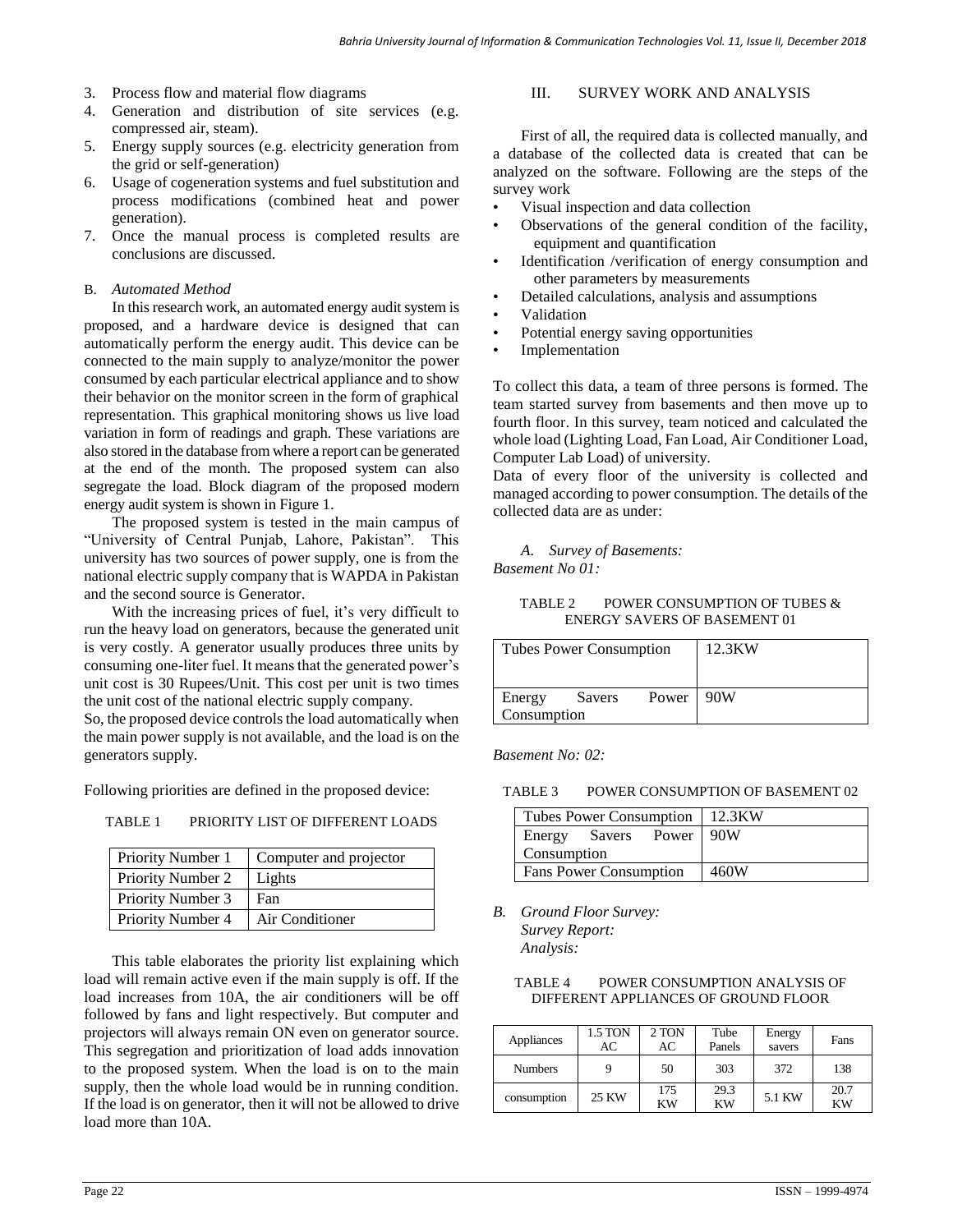- 3. Process flow and material flow diagrams
- 4. Generation and distribution of site services (e.g. compressed air, steam).
- 5. Energy supply sources (e.g. electricity generation from the grid or self-generation)
- 6. Usage of cogeneration systems and fuel substitution and process modifications (combined heat and power generation).
- 7. Once the manual process is completed results are conclusions are discussed.

### B. *Automated Method*

In this research work, an automated energy audit system is proposed, and a hardware device is designed that can automatically perform the energy audit. This device can be connected to the main supply to analyze/monitor the power consumed by each particular electrical appliance and to show their behavior on the monitor screen in the form of graphical representation. This graphical monitoring shows us live load variation in form of readings and graph. These variations are also stored in the database from where a report can be generated at the end of the month. The proposed system can also segregate the load. Block diagram of the proposed modern energy audit system is shown in Figure 1.

The proposed system is tested in the main campus of "University of Central Punjab, Lahore, Pakistan". This university has two sources of power supply, one is from the national electric supply company that is WAPDA in Pakistan and the second source is Generator.

With the increasing prices of fuel, it's very difficult to run the heavy load on generators, because the generated unit is very costly. A generator usually produces three units by consuming one-liter fuel. It means that the generated power's unit cost is 30 Rupees/Unit. This cost per unit is two times the unit cost of the national electric supply company.

So, the proposed device controls the load automatically when the main power supply is not available, and the load is on the generators supply.

Following priorities are defined in the proposed device:

TABLE 1 PRIORITY LIST OF DIFFERENT LOADS

| Priority Number 1 | Computer and projector |
|-------------------|------------------------|
| Priority Number 2 | Lights                 |
| Priority Number 3 | Fan                    |
| Priority Number 4 | Air Conditioner        |

This table elaborates the priority list explaining which load will remain active even if the main supply is off. If the load increases from 10A, the air conditioners will be off followed by fans and light respectively. But computer and projectors will always remain ON even on generator source. This segregation and prioritization of load adds innovation to the proposed system. When the load is on to the main supply, then the whole load would be in running condition. If the load is on generator, then it will not be allowed to drive load more than 10A.

# III. SURVEY WORK AND ANALYSIS

First of all, the required data is collected manually, and a database of the collected data is created that can be analyzed on the software. Following are the steps of the survey work

- Visual inspection and data collection
- Observations of the general condition of the facility, equipment and quantification
- Identification /verification of energy consumption and other parameters by measurements
- Detailed calculations, analysis and assumptions
- Validation
- Potential energy saving opportunities
- **Implementation**

To collect this data, a team of three persons is formed. The team started survey from basements and then move up to fourth floor. In this survey, team noticed and calculated the whole load (Lighting Load, Fan Load, Air Conditioner Load, Computer Lab Load) of university.

Data of every floor of the university is collected and managed according to power consumption. The details of the collected data are as under:

*A. Survey of Basements: Basement No 01:*

TABLE 2 POWER CONSUMPTION OF TUBES & ENERGY SAVERS OF BASEMENT 01

| <b>Tubes Power Consumption</b>                 | 12.3KW |
|------------------------------------------------|--------|
| Power   90W<br>Energy<br>Savers<br>Consumption |        |

*Basement No: 02:*

TABLE 3 POWER CONSUMPTION OF BASEMENT 02

| Tubes Power Consumption   12.3KW |  |  |      |
|----------------------------------|--|--|------|
| Energy Savers Power 90W          |  |  |      |
| <b>Consumption</b>               |  |  |      |
| <b>Fans Power Consumption</b>    |  |  | 460W |

*B. Ground Floor Survey: Survey Report:*

*Analysis:*

### TABLE 4 POWER CONSUMPTION ANALYSIS OF DIFFERENT APPLIANCES OF GROUND FLOOR

| Appliances     | 1.5 TON<br>AC | 2 TON<br>AC | Tube<br>Panels | Energy<br>savers | Fans       |
|----------------|---------------|-------------|----------------|------------------|------------|
| <b>Numbers</b> |               | 50          | 303            | 372              | 138        |
| consumption    | 25 KW         | 175<br>ΚW   | 29.3<br>ΚW     | 5.1 KW           | 20.7<br>KW |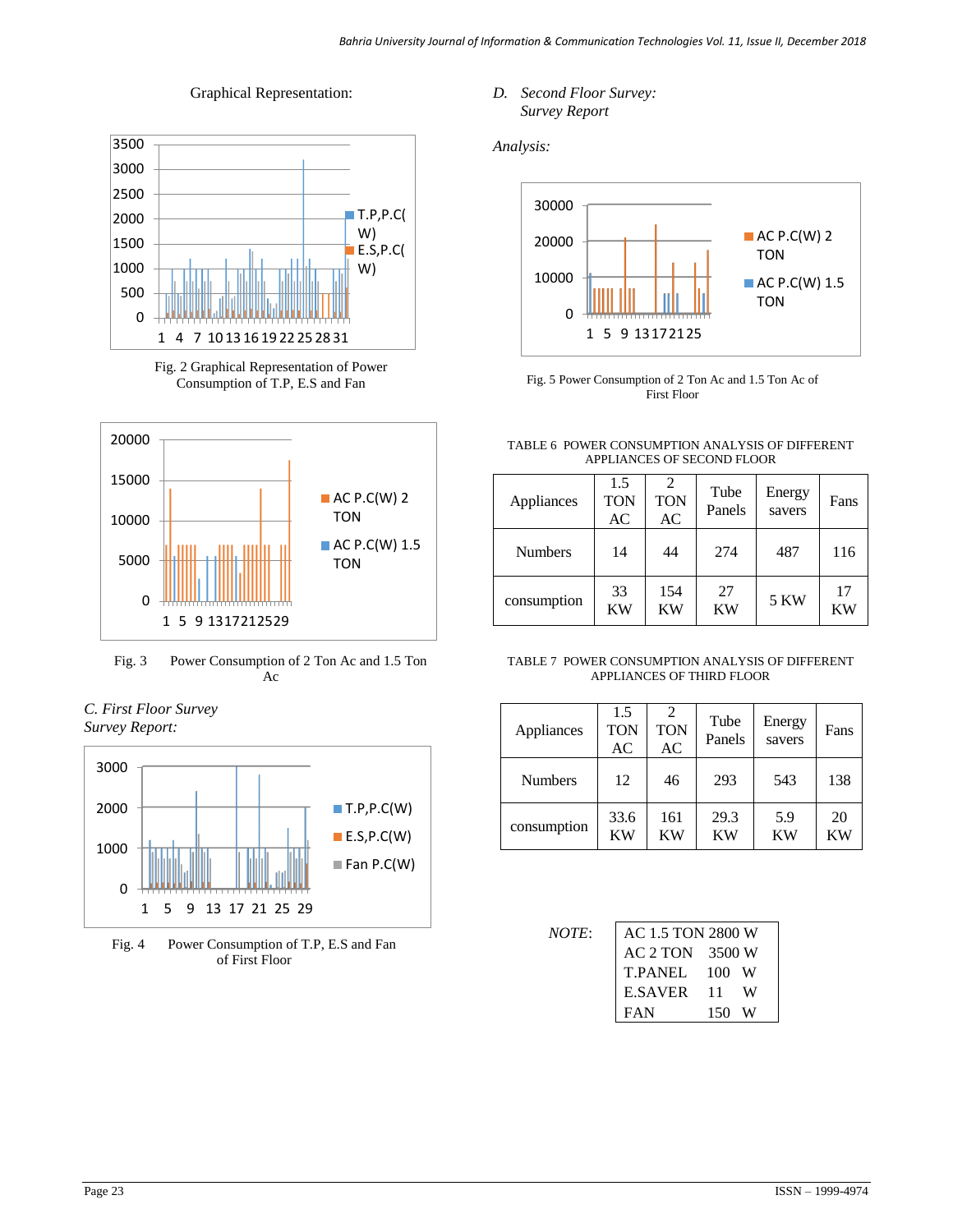# Graphical Representation:









# *C. First Floor Survey Survey Report:*



Fig. 4 Power Consumption of T.P, E.S and Fan of First Floor

*D. Second Floor Survey: Survey Report*

*Analysis:*



Fig. 5 Power Consumption of 2 Ton Ac and 1.5 Ton Ac of First Floor

### TABLE 6 POWER CONSUMPTION ANALYSIS OF DIFFERENT APPLIANCES OF SECOND FLOOR

| Appliances     | 1.5<br><b>TON</b><br>AC | <b>TON</b><br>AC | Tube<br>Panels  | Energy<br>savers | Fans            |
|----------------|-------------------------|------------------|-----------------|------------------|-----------------|
| <b>Numbers</b> | 14                      | 44               | 274             | 487              | 116             |
| consumption    | 33<br><b>KW</b>         | 154<br><b>KW</b> | 27<br><b>KW</b> | <b>5 KW</b>      | 17<br><b>KW</b> |

|  |  | TABLE 7  POWER CONSUMPTION ANALYSIS OF DIFFERENT |  |  |
|--|--|--------------------------------------------------|--|--|
|  |  | APPLIANCES OF THIRD FLOOR                        |  |  |

| Appliances     | 1.5<br><b>TON</b><br>AC | <b>TON</b><br>AC | Tube<br>Panels    | Energy<br>savers | Fans            |
|----------------|-------------------------|------------------|-------------------|------------------|-----------------|
| <b>Numbers</b> | 12                      | 46               | 293               | 543              | 138             |
| consumption    | 33.6<br><b>KW</b>       | 161<br><b>KW</b> | 29.3<br><b>KW</b> | 5.9<br>KW        | 20<br><b>KW</b> |

| <i>NOTE:</i> | AC 1.5 TON 2800 W |     |   |
|--------------|-------------------|-----|---|
|              | AC 2 TON 3500 W   |     |   |
|              | T.PANEL 100 W     |     |   |
|              | E.SAVER 11        |     | W |
|              | FAN               | 150 | W |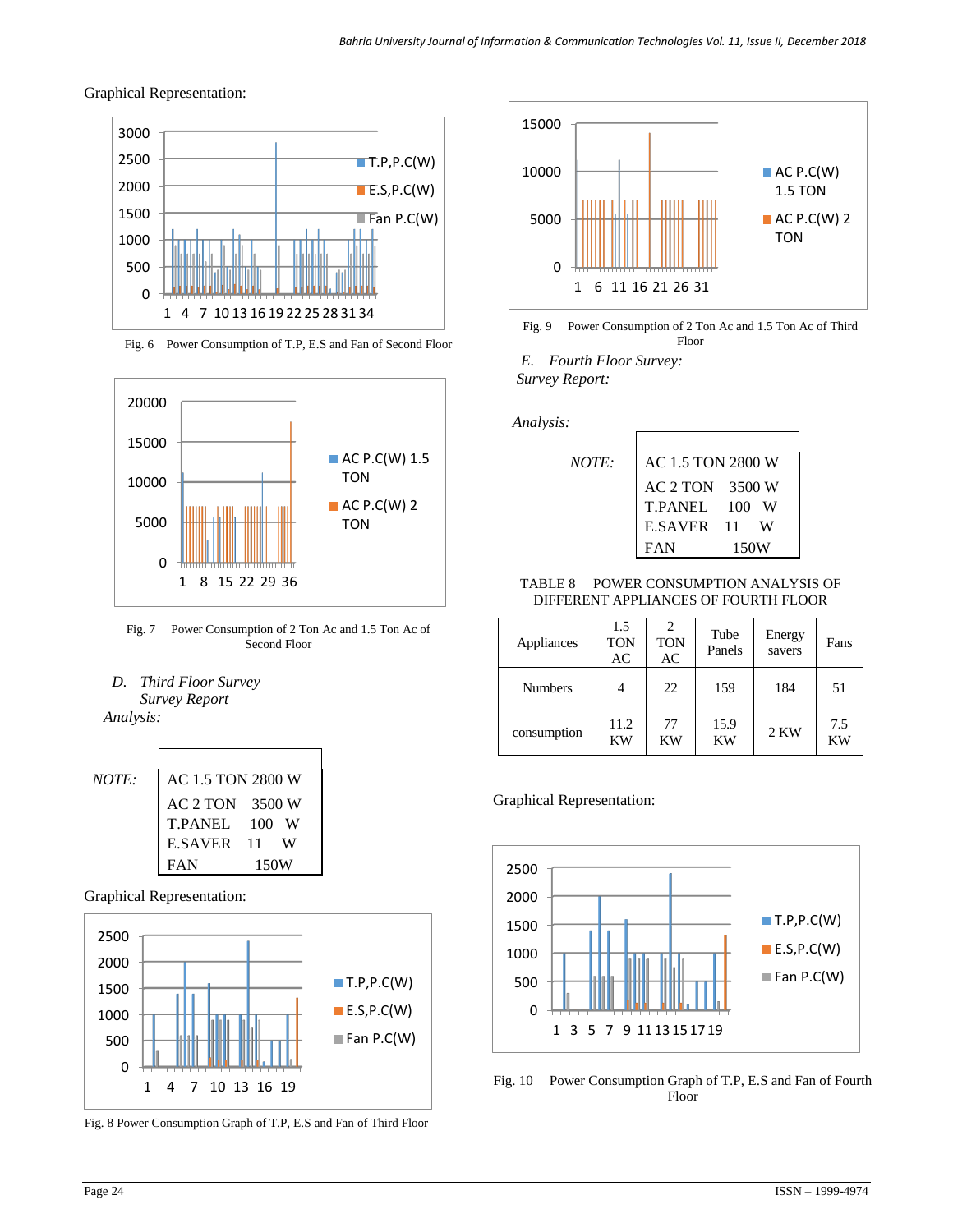Graphical Representation:



Fig. 6 Power Consumption of T.P, E.S and Fan of Second Floor





*D. Third Floor Survey Survey Report*

 *Analysis:*



Graphical Representation:



Fig. 8 Power Consumption Graph of T.P, E.S and Fan of Third Floor





*E. Fourth Floor Survey: Survey Report:*

*NOTE:* 

 *Analysis:*

| AC 1.5 TON 2800 W |           |
|-------------------|-----------|
| AC 2 TON          | 3500 W    |
| <b>T.PANEL</b>    | 100 W     |
| <b>E.SAVER</b>    | - 11<br>W |
| FAN               | 150W      |

### TABLE 8 POWER CONSUMPTION ANALYSIS OF DIFFERENT APPLIANCES OF FOURTH FLOOR

| Appliances     | 1.5<br><b>TON</b><br>AC | <b>TON</b><br>AC | Tube<br>Panels    | Energy<br>savers | Fans      |
|----------------|-------------------------|------------------|-------------------|------------------|-----------|
| <b>Numbers</b> | 4                       | 22               | 159               | 184              | 51        |
| consumption    | 11.2<br><b>KW</b>       | 77<br>KW         | 15.9<br><b>KW</b> | 2 KW             | 7.5<br>KW |

Graphical Representation:



Fig. 10 Power Consumption Graph of T.P, E.S and Fan of Fourth Floor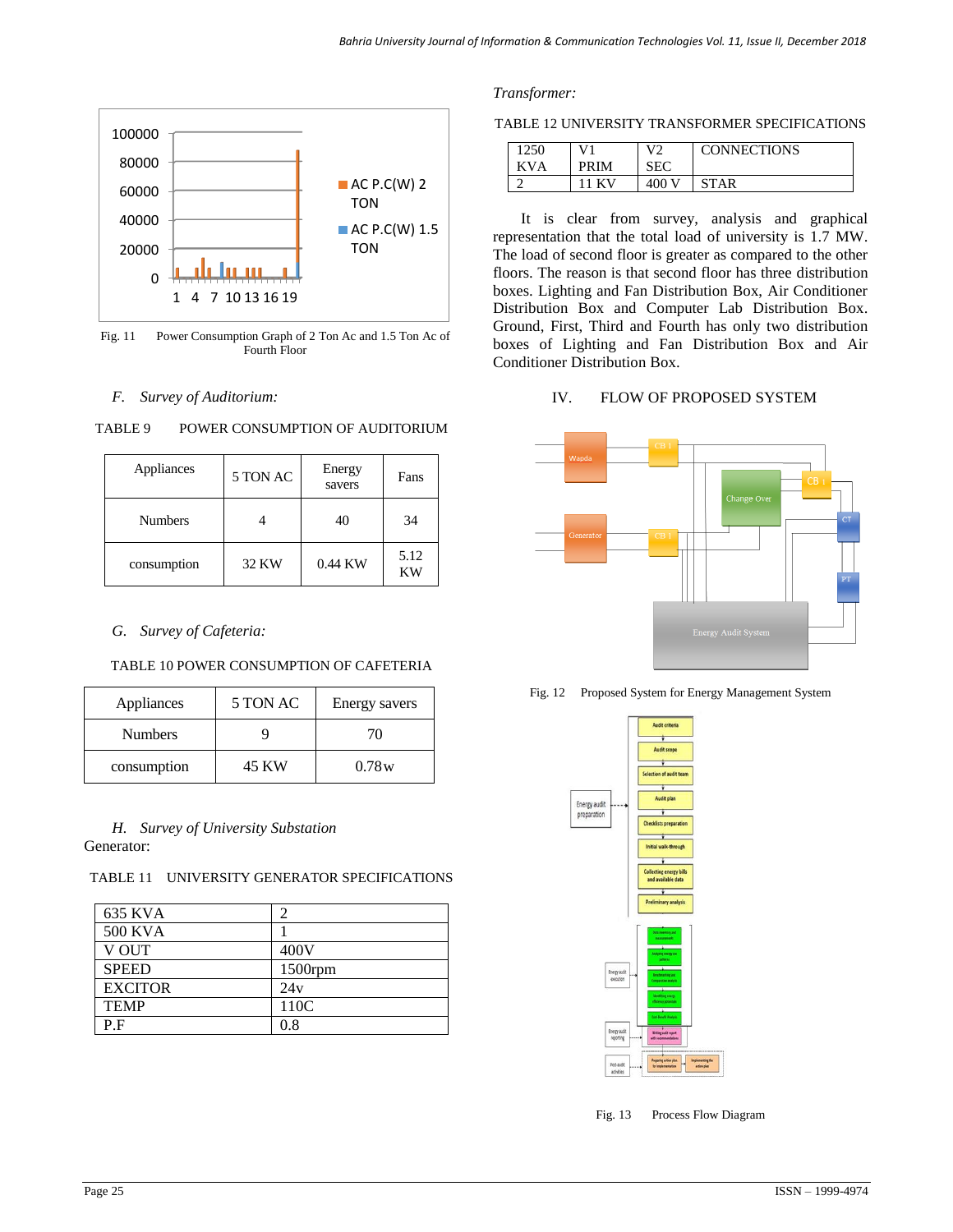

Fig. 11 Power Consumption Graph of 2 Ton Ac and 1.5 Ton Ac of Fourth Floor

# *F. Survey of Auditorium:*

| Appliances     | 5 TON AC | Energy<br>savers | Fans       |
|----------------|----------|------------------|------------|
| <b>Numbers</b> |          | 40               | 34         |
| consumption    | 32 KW    | 0.44 KW          | 5.12<br>ΚW |

# TABLE 9 POWER CONSUMPTION OF AUDITORIUM

# *G. Survey of Cafeteria:*

### TABLE 10 POWER CONSUMPTION OF CAFETERIA

| Appliances  | 5 TON AC | Energy savers |
|-------------|----------|---------------|
| Numbers     |          | 70            |
| consumption | 45 KW    | 0.78w         |

### *H. Survey of University Substation* Generator:

### TABLE 11 UNIVERSITY GENERATOR SPECIFICATIONS

| 635 KVA        |         |
|----------------|---------|
| 500 KVA        |         |
| V OUT          | 400V    |
| <b>SPEED</b>   | 1500rpm |
| <b>EXCITOR</b> | 24v     |
| <b>TEMP</b>    | 110C    |
| P.F            | 0.8     |

### *Transformer:*

#### TABLE 12 UNIVERSITY TRANSFORMER SPECIFICATIONS

| 1250    |             | ۱۱    | <b>CONNECTIONS</b> |
|---------|-------------|-------|--------------------|
| ΚV<br>Ά | <b>PRIM</b> |       |                    |
|         |             | 400 V | ΔR                 |

It is clear from survey, analysis and graphical representation that the total load of university is 1.7 MW. The load of second floor is greater as compared to the other floors. The reason is that second floor has three distribution boxes. Lighting and Fan Distribution Box, Air Conditioner Distribution Box and Computer Lab Distribution Box. Ground, First, Third and Fourth has only two distribution boxes of Lighting and Fan Distribution Box and Air Conditioner Distribution Box.

### IV. FLOW OF PROPOSED SYSTEM



Fig. 12 Proposed System for Energy Management System



Fig. 13 Process Flow Diagram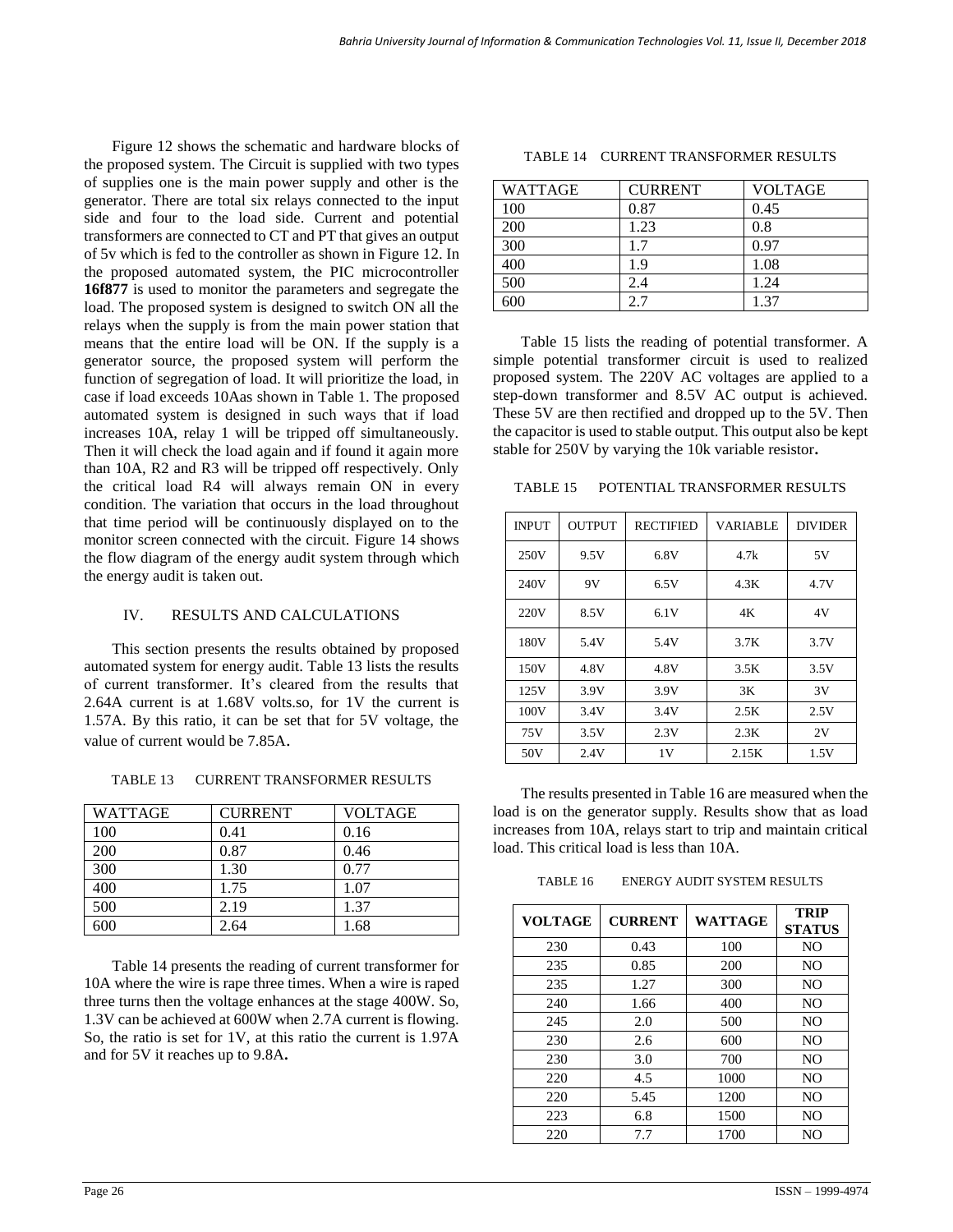Figure 12 shows the schematic and hardware blocks of the proposed system. The Circuit is supplied with two types of supplies one is the main power supply and other is the generator. There are total six relays connected to the input side and four to the load side. Current and potential transformers are connected to CT and PT that gives an output of 5v which is fed to the controller as shown in Figure 12. In the proposed automated system, the PIC microcontroller **16f877** is used to monitor the parameters and segregate the load. The proposed system is designed to switch ON all the relays when the supply is from the main power station that means that the entire load will be ON. If the supply is a generator source, the proposed system will perform the function of segregation of load. It will prioritize the load, in case if load exceeds 10Aas shown in Table 1. The proposed automated system is designed in such ways that if load increases 10A, relay 1 will be tripped off simultaneously. Then it will check the load again and if found it again more than 10A, R2 and R3 will be tripped off respectively. Only the critical load R4 will always remain ON in every condition. The variation that occurs in the load throughout that time period will be continuously displayed on to the monitor screen connected with the circuit. Figure 14 shows the flow diagram of the energy audit system through which the energy audit is taken out.

### IV. RESULTS AND CALCULATIONS

This section presents the results obtained by proposed automated system for energy audit. Table 13 lists the results of current transformer. It's cleared from the results that 2.64A current is at 1.68V volts.so, for 1V the current is 1.57A. By this ratio, it can be set that for 5V voltage, the value of current would be 7.85A.

TABLE 13 CURRENT TRANSFORMER RESULTS

| WATTAGE | <b>CURRENT</b> | <b>VOLTAGE</b> |
|---------|----------------|----------------|
| 100     | 0.41           | 0.16           |
| 200     | 0.87           | 0.46           |
| 300     | 1.30           | 0.77           |
| 400     | 1.75           | 1.07           |
| 500     | 2.19           | 1.37           |
| 600     | 2.64           | 1.68           |

Table 14 presents the reading of current transformer for 10A where the wire is rape three times. When a wire is raped three turns then the voltage enhances at the stage 400W. So, 1.3V can be achieved at 600W when 2.7A current is flowing. So, the ratio is set for 1V, at this ratio the current is 1.97A and for 5V it reaches up to 9.8A**.**

| <b>WATTAGE</b> | <b>CURRENT</b> | <b>VOLTAGE</b> |
|----------------|----------------|----------------|
| 100            | 0.87           | 0.45           |
| 200            | 1.23           | 0.8            |
| 300            | 17             | 0.97           |
| 400            | 1.9            | 1.08           |
| 500            | 2.4            | 1.24           |
|                |                | $1.3^{\circ}$  |

TABLE 14 CURRENT TRANSFORMER RESULTS

Table 15 lists the reading of potential transformer. A simple potential transformer circuit is used to realized proposed system. The 220V AC voltages are applied to a step-down transformer and 8.5V AC output is achieved. These 5V are then rectified and dropped up to the 5V. Then the capacitor is used to stable output. This output also be kept stable for 250V by varying the 10k variable resistor**.**

TABLE 15 POTENTIAL TRANSFORMER RESULTS

| <b>INPUT</b> | <b>OUTPUT</b> | <b>RECTIFIED</b> | <b>VARIABLE</b> | <b>DIVIDER</b> |
|--------------|---------------|------------------|-----------------|----------------|
| 250V         | 9.5V          | 6.8V             | 4.7k            | 5V             |
| 240V         | 9V            | 6.5V             | 4.3K            | 4.7V           |
| 220V         | 8.5V          | 6.1V             | 4Κ              | 4V             |
| 180V         | 5.4V          | 5.4V             | 3.7K            | 3.7V           |
| 150V         | 4.8V          | 4.8V             | 3.5K            | 3.5V           |
| 125V         | 3.9V          | 3.9V             | 3K              | 3V             |
| 100V         | 3.4V          | 3.4V             | 2.5K            | 2.5V           |
| 75V          | 3.5V          | 2.3V             | 2.3K            | 2V             |
| 50V          | 2.4V          | 1V               | 2.15K           | 1.5V           |

The results presented in Table 16 are measured when the load is on the generator supply. Results show that as load increases from 10A, relays start to trip and maintain critical load. This critical load is less than 10A.

TABLE 16 ENERGY AUDIT SYSTEM RESULTS

| <b>VOLTAGE</b> | <b>CURRENT</b> | <b>WATTAGE</b> | <b>TRIP</b><br><b>STATUS</b> |
|----------------|----------------|----------------|------------------------------|
| 230            | 0.43           | 100            | N <sub>O</sub>               |
| 235            | 0.85           | 200            | N <sub>O</sub>               |
| 235            | 1.27           | 300            | N <sub>O</sub>               |
| 240            | 1.66           | 400            | NO.                          |
| 245            | 2.0            | 500            | NO                           |
| 230            | 2.6            | 600            | NO                           |
| 230            | 3.0            | 700            | NO                           |
| 220            | 4.5            | 1000           | NO                           |
| 220            | 5.45           | 1200           | N <sub>O</sub>               |
| 223            | 6.8            | 1500           | N <sub>O</sub>               |
| 220            | 7.7            | 1700           | NO                           |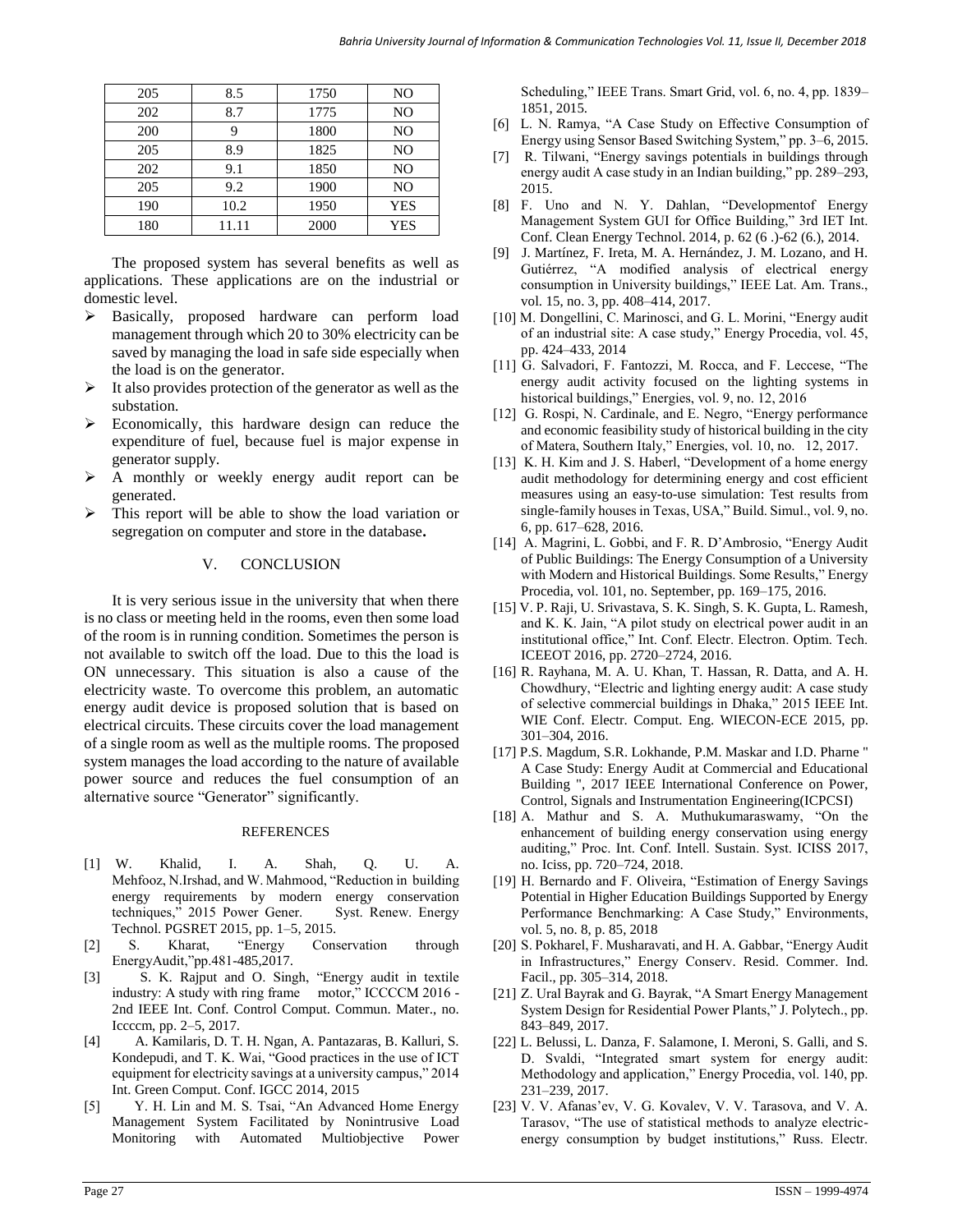| 205 | 8.5   | 1750 | N <sub>O</sub> |
|-----|-------|------|----------------|
| 202 | 8.7   | 1775 | NO             |
| 200 |       | 1800 | NO             |
| 205 | 8.9   | 1825 | NO             |
| 202 | 9.1   | 1850 | NO             |
| 205 | 9.2   | 1900 | NO             |
| 190 | 10.2  | 1950 | <b>YES</b>     |
| 180 | 11.11 | 2000 | YES            |

The proposed system has several benefits as well as applications. These applications are on the industrial or domestic level.

- Basically, proposed hardware can perform load management through which 20 to 30% electricity can be saved by managing the load in safe side especially when the load is on the generator.
- It also provides protection of the generator as well as the substation.
- Economically, this hardware design can reduce the expenditure of fuel, because fuel is major expense in generator supply.
- A monthly or weekly energy audit report can be generated.
- This report will be able to show the load variation or segregation on computer and store in the database**.**

### V. CONCLUSION

It is very serious issue in the university that when there is no class or meeting held in the rooms, even then some load of the room is in running condition. Sometimes the person is not available to switch off the load. Due to this the load is ON unnecessary. This situation is also a cause of the electricity waste. To overcome this problem, an automatic energy audit device is proposed solution that is based on electrical circuits. These circuits cover the load management of a single room as well as the multiple rooms. The proposed system manages the load according to the nature of available power source and reduces the fuel consumption of an alternative source "Generator" significantly.

#### **REFERENCES**

- [1] W. Khalid, I. A. Shah, Q. U. A. Mehfooz, N.Irshad, and W. Mahmood, "Reduction in building energy requirements by modern energy conservation techniques," 2015 Power Gener. Syst. Renew. Energy Technol. PGSRET 2015, pp. 1–5, 2015.
- [2] S. Kharat, "Energy Conservation through EnergyAudit,"pp.481-485,2017.
- [3] S. K. Rajput and O. Singh, "Energy audit in textile industry: A study with ring frame motor," ICCCCM 2016 - 2nd IEEE Int. Conf. Control Comput. Commun. Mater., no. Iccccm, pp. 2–5, 2017.
- [4] A. Kamilaris, D. T. H. Ngan, A. Pantazaras, B. Kalluri, S. Kondepudi, and T. K. Wai, "Good practices in the use of ICT equipment for electricity savings at a university campus," 2014 Int. Green Comput. Conf. IGCC 2014, 2015
- [5] Y. H. Lin and M. S. Tsai, "An Advanced Home Energy Management System Facilitated by Nonintrusive Load Monitoring with Automated Multiobjective Power

Scheduling," IEEE Trans. Smart Grid, vol. 6, no. 4, pp. 1839– 1851, 2015.

- [6] L. N. Ramya, "A Case Study on Effective Consumption of Energy using Sensor Based Switching System," pp. 3–6, 2015.
- [7] R. Tilwani, "Energy savings potentials in buildings through energy audit A case study in an Indian building," pp. 289–293, 2015.
- [8] F. Uno and N. Y. Dahlan, "Developmentof Energy Management System GUI for Office Building," 3rd IET Int. Conf. Clean Energy Technol. 2014, p. 62 (6 .)-62 (6.), 2014.
- [9] J. Martínez, F. Ireta, M. A. Hernández, J. M. Lozano, and H. Gutiérrez, "A modified analysis of electrical energy consumption in University buildings," IEEE Lat. Am. Trans., vol. 15, no. 3, pp. 408–414, 2017.
- [10] M. Dongellini, C. Marinosci, and G. L. Morini, "Energy audit of an industrial site: A case study," Energy Procedia, vol. 45, pp. 424–433, 2014
- [11] G. Salvadori, F. Fantozzi, M. Rocca, and F. Leccese, "The energy audit activity focused on the lighting systems in historical buildings," Energies, vol. 9, no. 12, 2016
- [12] G. Rospi, N. Cardinale, and E. Negro, "Energy performance" and economic feasibility study of historical building in the city of Matera, Southern Italy," Energies, vol. 10, no. 12, 2017.
- [13] K. H. Kim and J. S. Haberl, "Development of a home energy audit methodology for determining energy and cost efficient measures using an easy-to-use simulation: Test results from single-family houses in Texas, USA," Build. Simul., vol. 9, no. 6, pp. 617–628, 2016.
- [14] A. Magrini, L. Gobbi, and F. R. D'Ambrosio, "Energy Audit of Public Buildings: The Energy Consumption of a University with Modern and Historical Buildings. Some Results," Energy Procedia, vol. 101, no. September, pp. 169–175, 2016.
- [15] V. P. Raji, U. Srivastava, S. K. Singh, S. K. Gupta, L. Ramesh, and K. K. Jain, "A pilot study on electrical power audit in an institutional office," Int. Conf. Electr. Electron. Optim. Tech. ICEEOT 2016, pp. 2720–2724, 2016.
- [16] R. Rayhana, M. A. U. Khan, T. Hassan, R. Datta, and A. H. Chowdhury, "Electric and lighting energy audit: A case study of selective commercial buildings in Dhaka," 2015 IEEE Int. WIE Conf. Electr. Comput. Eng. WIECON-ECE 2015, pp. 301–304, 2016.
- [17] [P.S. Magdum,](https://ieeexplore.ieee.org/author/37086399273) [S.R. Lokhande,](https://ieeexplore.ieee.org/author/37086399238) [P.M. Maskar](https://ieeexplore.ieee.org/author/37086398335) and I.D. Pharne " A Case Study: Energy Audit at Commercial and Educational Building ", [2017 IEEE International Conference on Power,](https://ieeexplore.ieee.org/xpl/mostRecentIssue.jsp?punumber=8385064)  [Control, Signals and Instrumentation Engineering\(ICPCSI\)](https://ieeexplore.ieee.org/xpl/mostRecentIssue.jsp?punumber=8385064)
- [18] A. Mathur and S. A. Muthukumaraswamy, "On the enhancement of building energy conservation using energy auditing," Proc. Int. Conf. Intell. Sustain. Syst. ICISS 2017, no. Iciss, pp. 720–724, 2018.
- [19] H. Bernardo and F. Oliveira, "Estimation of Energy Savings Potential in Higher Education Buildings Supported by Energy Performance Benchmarking: A Case Study," Environments, vol. 5, no. 8, p. 85, 2018
- [20] S. Pokharel, F. Musharavati, and H. A. Gabbar, "Energy Audit in Infrastructures," Energy Conserv. Resid. Commer. Ind. Facil., pp. 305–314, 2018.
- [21] Z. Ural Bayrak and G. Bayrak, "A Smart Energy Management System Design for Residential Power Plants," J. Polytech., pp. 843–849, 2017.
- [22] L. Belussi, L. Danza, F. Salamone, I. Meroni, S. Galli, and S. D. Svaldi, "Integrated smart system for energy audit: Methodology and application," Energy Procedia, vol. 140, pp. 231–239, 2017.
- [23] V. V. Afanas'ev, V. G. Kovalev, V. V. Tarasova, and V. A. Tarasov, "The use of statistical methods to analyze electricenergy consumption by budget institutions," Russ. Electr.